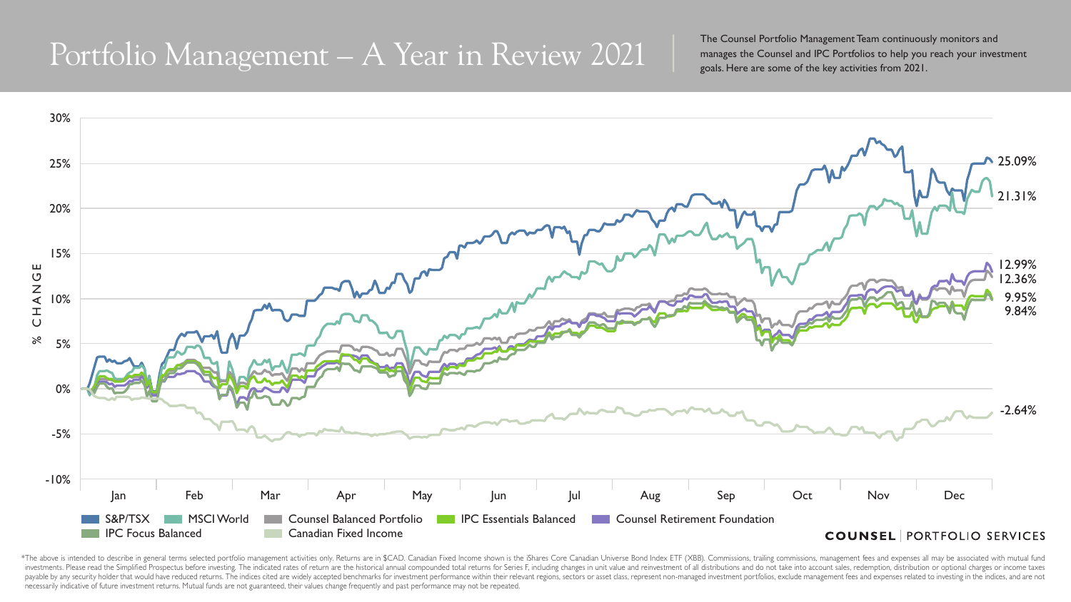\*The above is intended to describe in general terms selected portfolio management activities only. Returns are in \$CAD. Canadian Fixed Income shown is the iShares Core Canadian Universe Bond Index ETF (XBB). Commissions, t investments. Please read the Simplified Prospectus before investing. The indicated rates of return are the historical annual compounded total returns for Series F, including changes in unit value and reinvestment of all di payable by any security holder that would have reduced returns. The indices cited are widely accepted benchmarks for investment performance within their relevant regions, sectors or asset class, represent non-managed inves necessarily indicative of future investment returns. Mutual funds are not guaranteed, their values change frequently and past performance may not be repeated.

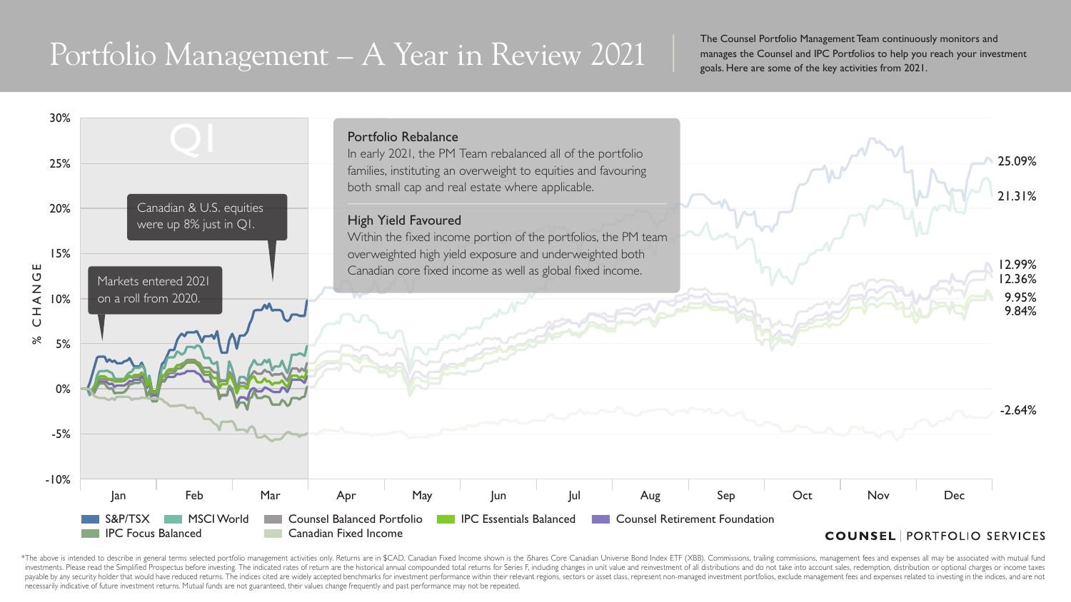\*The above is intended to describe in general terms selected portfolio management activities only. Returns are in \$CAD. Canadian Fixed Income shown is the iShares Core Canadian Universe Bond Index ETF (XBB). Commissions, t investments. Please read the Simplified Prospectus before investing. The indicated rates of return are the historical annual compounded total returns for Series F, including changes in unit value and reinvestment of all di payable by any security holder that would have reduced returns. The indices cited are widely accepted benchmarks for investment performance within their relevant regions, sectors or asset class, represent non-managed inves necessarily indicative of future investment returns. Mutual funds are not guaranteed, their values change frequently and past performance may not be repeated.

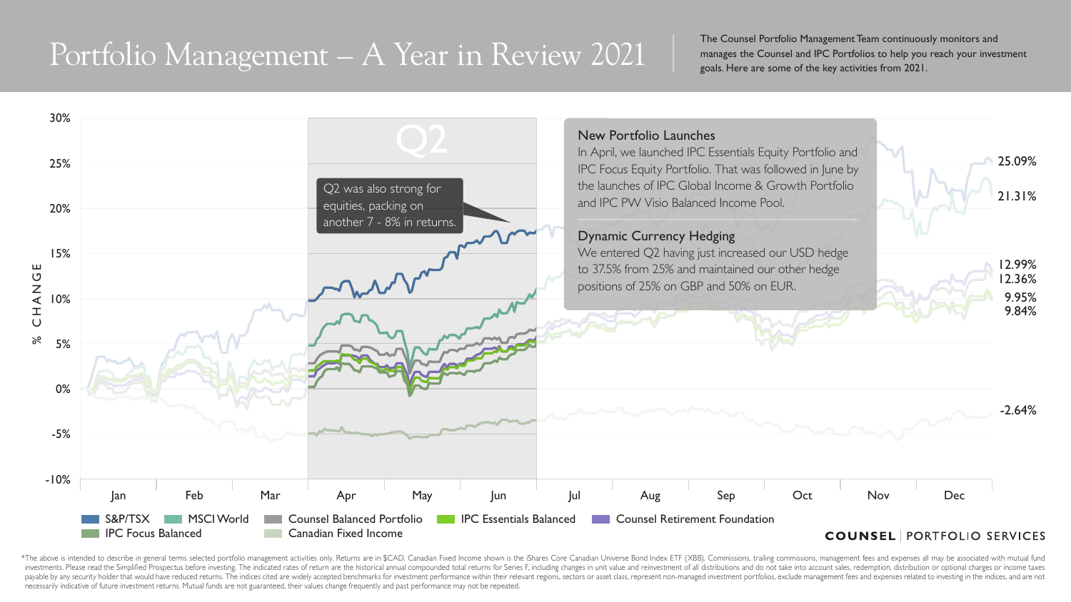\*The above is intended to describe in general terms selected portfolio management activities only. Returns are in \$CAD. Canadian Fixed Income shown is the iShares Core Canadian Universe Bond Index ETF (XBB). Commissions, t investments. Please read the Simplified Prospectus before investing. The indicated rates of return are the historical annual compounded total returns for Series F, including changes in unit value and reinvestment of all di payable by any security holder that would have reduced returns. The indices cited are widely accepted benchmarks for investment performance within their relevant regions, sectors or asset class, represent non-managed inves necessarily indicative of future investment returns. Mutual funds are not guaranteed, their values change frequently and past performance may not be repeated.

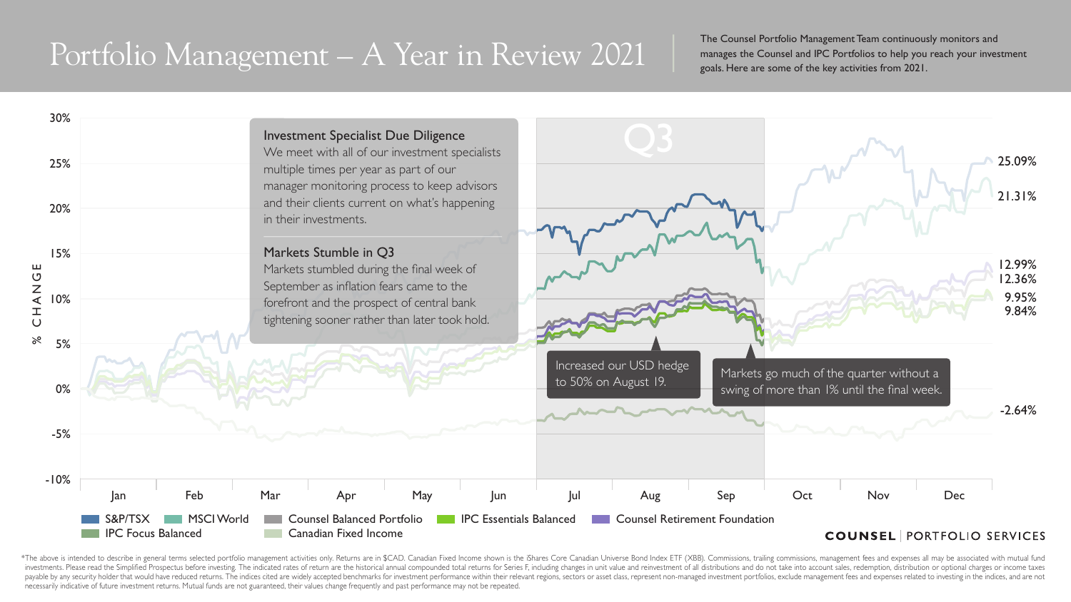\*The above is intended to describe in general terms selected portfolio management activities only. Returns are in \$CAD. Canadian Fixed Income shown is the iShares Core Canadian Universe Bond Index ETF (XBB). Commissions, t investments. Please read the Simplified Prospectus before investing. The indicated rates of return are the historical annual compounded total returns for Series F, including changes in unit value and reinvestment of all di payable by any security holder that would have reduced returns. The indices cited are widely accepted benchmarks for investment performance within their relevant regions, sectors or asset class, represent non-managed inves necessarily indicative of future investment returns. Mutual funds are not guaranteed, their values change frequently and past performance may not be repeated.